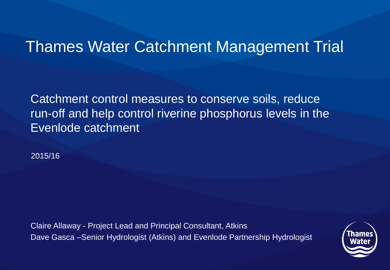### Thames Water Catchment Management Trial

Catchment control measures to conserve soils, reduce run-off and help control riverine phosphorus levels in the Evenlode catchment

2015/16

Claire Allaway - Project Lead and Principal Consultant, Atkins Dave Gasca –Senior Hydrologist (Atkins) and Evenlode Partnership Hydrologist

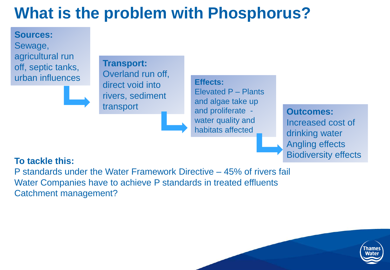# **What is the problem with Phosphorus?**

**Sources:** Sewage, agricultural run off, septic tanks, urban influences



**Transport:** Overland run off, direct void into rivers, sediment

transport and all and all transport and proliferate - **Outcomes: Effects:** Elevated P – Plants and algae take up water quality and habitats affected

Increased cost of drinking water Angling effects Biodiversity effects

#### **To tackle this:**

P standards under the Water Framework Directive – 45% of rivers fail Water Companies have to achieve P standards in treated effluents Catchment management?

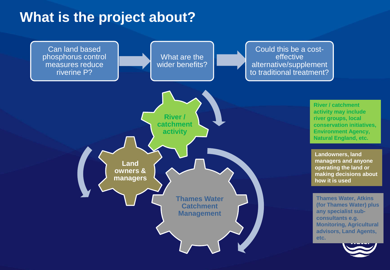### **What is the project about?**

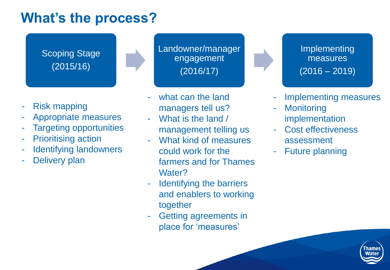### **What's the process?**

Scoping Stage (2015/16)

- Risk mapping
- Appropriate measures
- **Targeting opportunities**
- Prioritising action
- Identifying landowners
- Delivery plan

Landowner/manager engagement (2016/17)

- what can the land managers tell us?
- What is the land / management telling us
- What kind of measures could work for the farmers and for Thames Water?
- Identifying the barriers and enablers to working together
- Getting agreements in place for 'measures'

Implementing measures  $(2016 - 2019)$ 

- Implementing measures
- **Monitoring** implementation
- Cost effectiveness assessment
- Future planning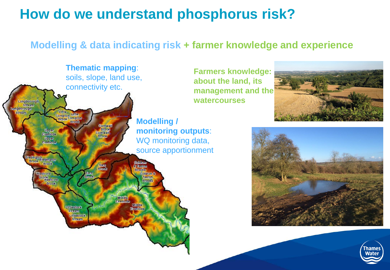### **How do we understand phosphorus risk?**

### **Modelling & data indicating risk + farmer knowledge and experience**







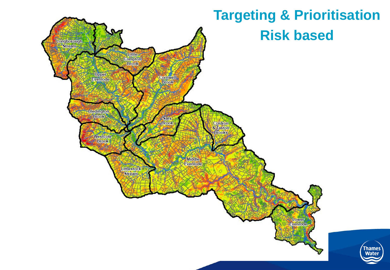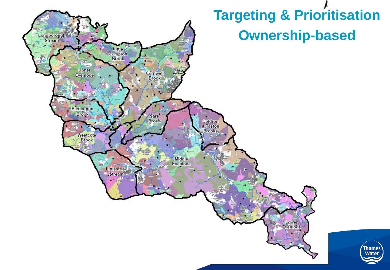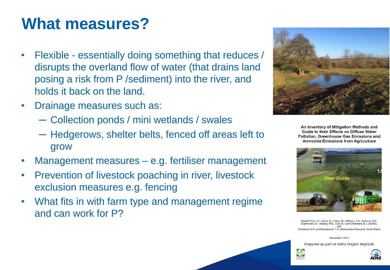## **What measures?**

- Flexible essentially doing something that reduces / disrupts the overland flow of water (that drains land posing a risk from P /sediment) into the river, and holds it back on the land.
- Drainage measures such as:
	- ─ Collection ponds / mini wetlands / swales
	- ─ Hedgerows, shelter belts, fenced off areas left to grow
- Management measures e.g. fertiliser management
- Prevention of livestock poaching in river, livestock exclusion measures e.g. fencing
- What fits in with farm type and management regime and can work for P?



An Inventory of Mitigation Methods and Guide to their Effects on Diffuse Water **Pollution, Greenhouse Gas Emissions and Ammonia Emissions from Agriculture** 



Newell Price, J.P., Harris, D., Taylor, M., Williams, J.R., Anthony, S.G.<br>Duethmann, D., Gooday, R.D., Lord, E.I. and Chambers, B.J. (ADAS), Chadwick, D.R. and Misselbrook, T.H. (Rothamsted Research, North Wyke)

December 2011

Prepared as part of Defra Project WQ0106





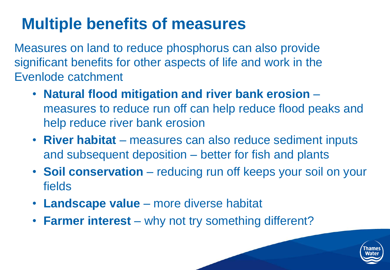## **Multiple benefits of measures**

Measures on land to reduce phosphorus can also provide significant benefits for other aspects of life and work in the Evenlode catchment

- **Natural flood mitigation and river bank erosion**  measures to reduce run off can help reduce flood peaks and help reduce river bank erosion
- **River habitat**  measures can also reduce sediment inputs and subsequent deposition – better for fish and plants
- **Soil conservation**  reducing run off keeps your soil on your fields
- **Landscape value**  more diverse habitat
- **Farmer interest** why not try something different?